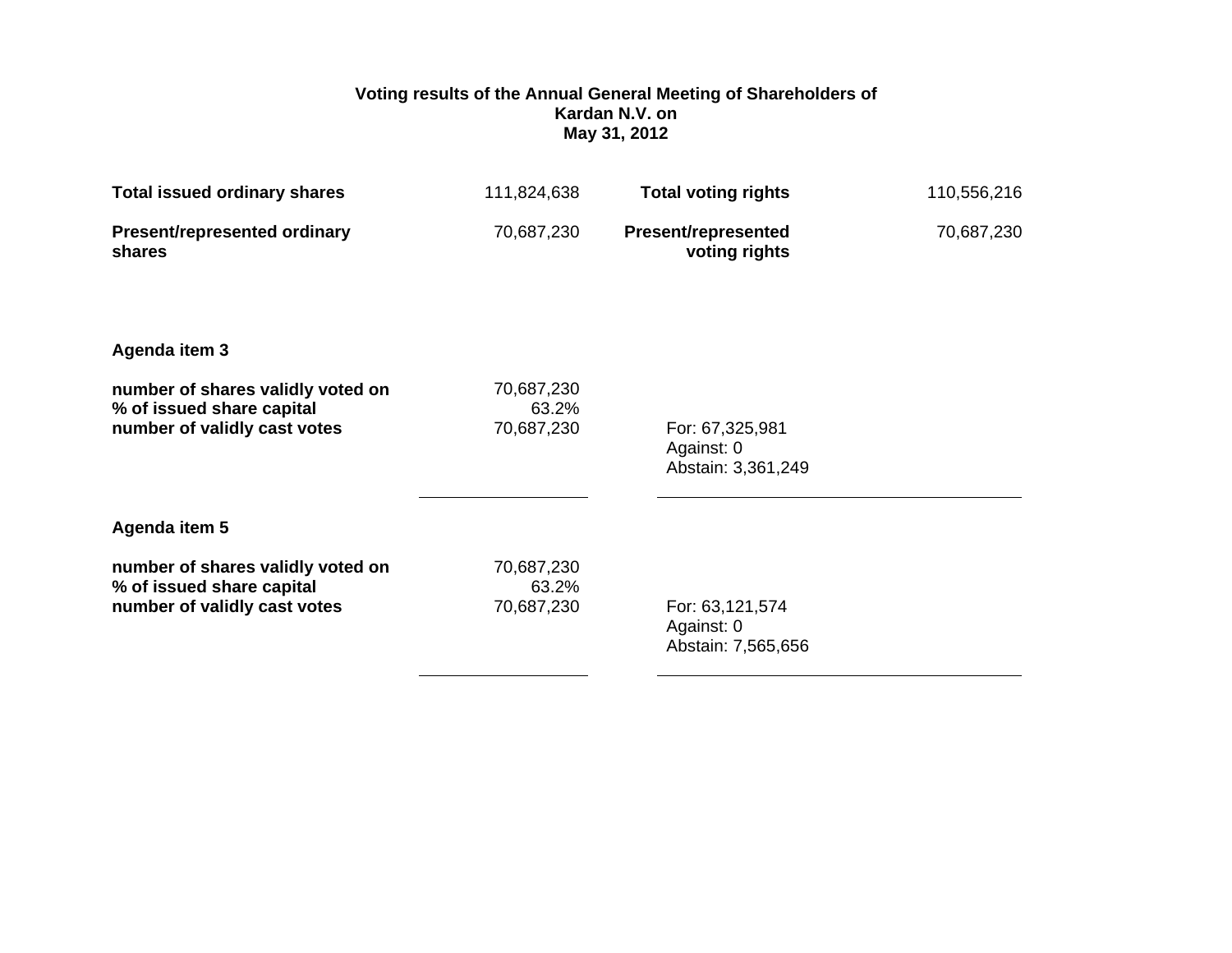## **Voting results of the Annual General Meeting of Shareholders of Kardan N.V. on May 31, 2012**

| <b>Total issued ordinary shares</b>                                                            | 111,824,638                       | <b>Total voting rights</b>                          | 110,556,216 |
|------------------------------------------------------------------------------------------------|-----------------------------------|-----------------------------------------------------|-------------|
| Present/represented ordinary<br>shares                                                         | 70,687,230                        | <b>Present/represented</b><br>voting rights         | 70,687,230  |
| Agenda item 3                                                                                  |                                   |                                                     |             |
| number of shares validly voted on<br>% of issued share capital<br>number of validly cast votes | 70,687,230<br>63.2%<br>70,687,230 | For: 67,325,981<br>Against: 0<br>Abstain: 3,361,249 |             |
| Agenda item 5                                                                                  |                                   |                                                     |             |
| number of shares validly voted on<br>% of issued share capital<br>number of validly cast votes | 70,687,230<br>63.2%<br>70,687,230 | For: 63,121,574<br>Against: 0<br>Abstain: 7,565,656 |             |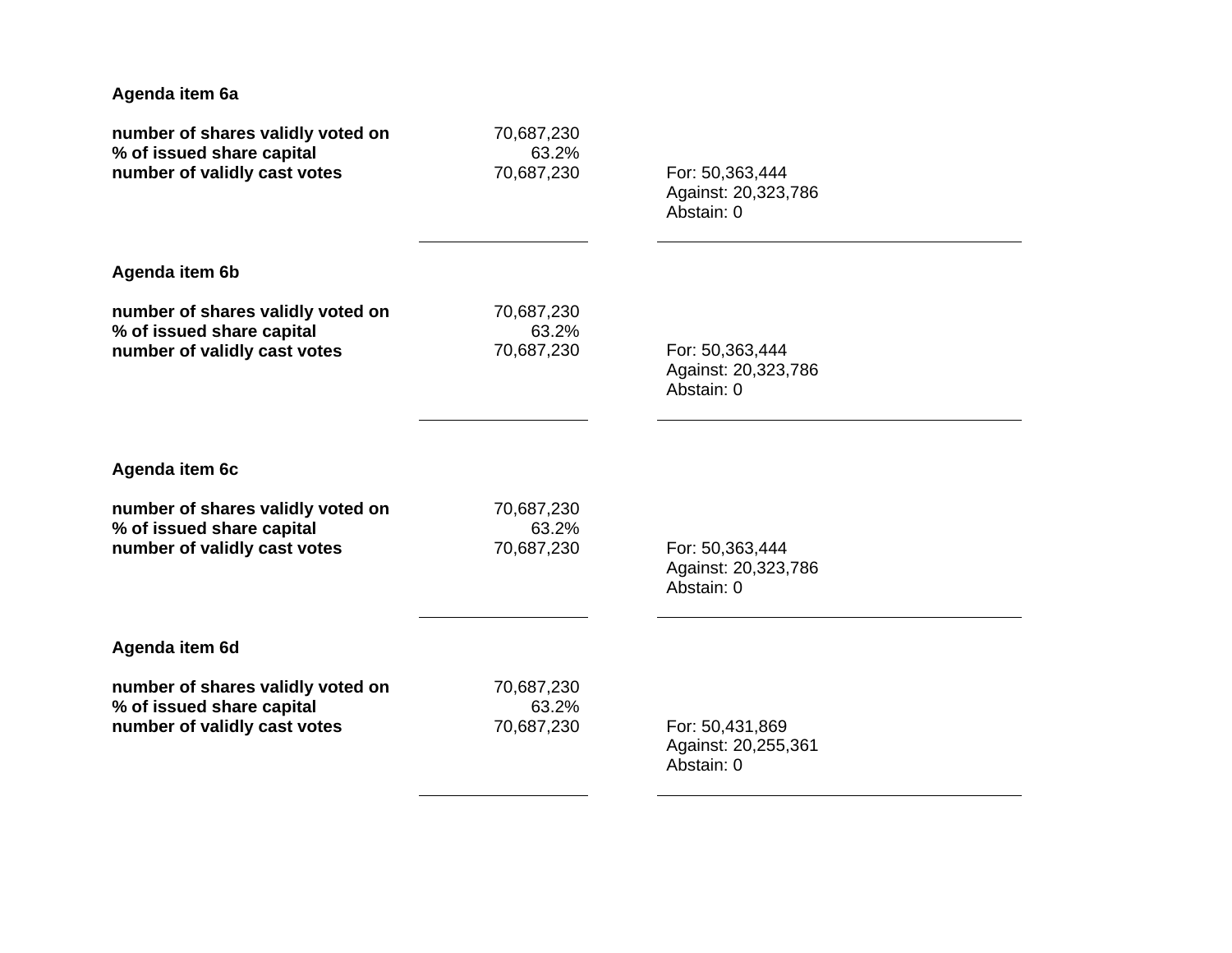| Agenda item 6a                    |            |                     |  |
|-----------------------------------|------------|---------------------|--|
| number of shares validly voted on | 70,687,230 | For: 50,363,444     |  |
| % of issued share capital         | 63.2%      | Against: 20,323,786 |  |
| number of validly cast votes      | 70,687,230 | Abstain: 0          |  |
| Agenda item 6b                    |            |                     |  |
| number of shares validly voted on | 70,687,230 | For: 50,363,444     |  |
| % of issued share capital         | 63.2%      | Against: 20,323,786 |  |
| number of validly cast votes      | 70,687,230 | Abstain: 0          |  |
| Agenda item 6c                    |            |                     |  |
| number of shares validly voted on | 70,687,230 | For: 50,363,444     |  |
| % of issued share capital         | 63.2%      | Against: 20,323,786 |  |
| number of validly cast votes      | 70,687,230 | Abstain: 0          |  |
| Agenda item 6d                    |            |                     |  |
| number of shares validly voted on | 70,687,230 | For: 50,431,869     |  |
| % of issued share capital         | 63.2%      | Against: 20,255,361 |  |
| number of validly cast votes      | 70,687,230 | Abstain: 0          |  |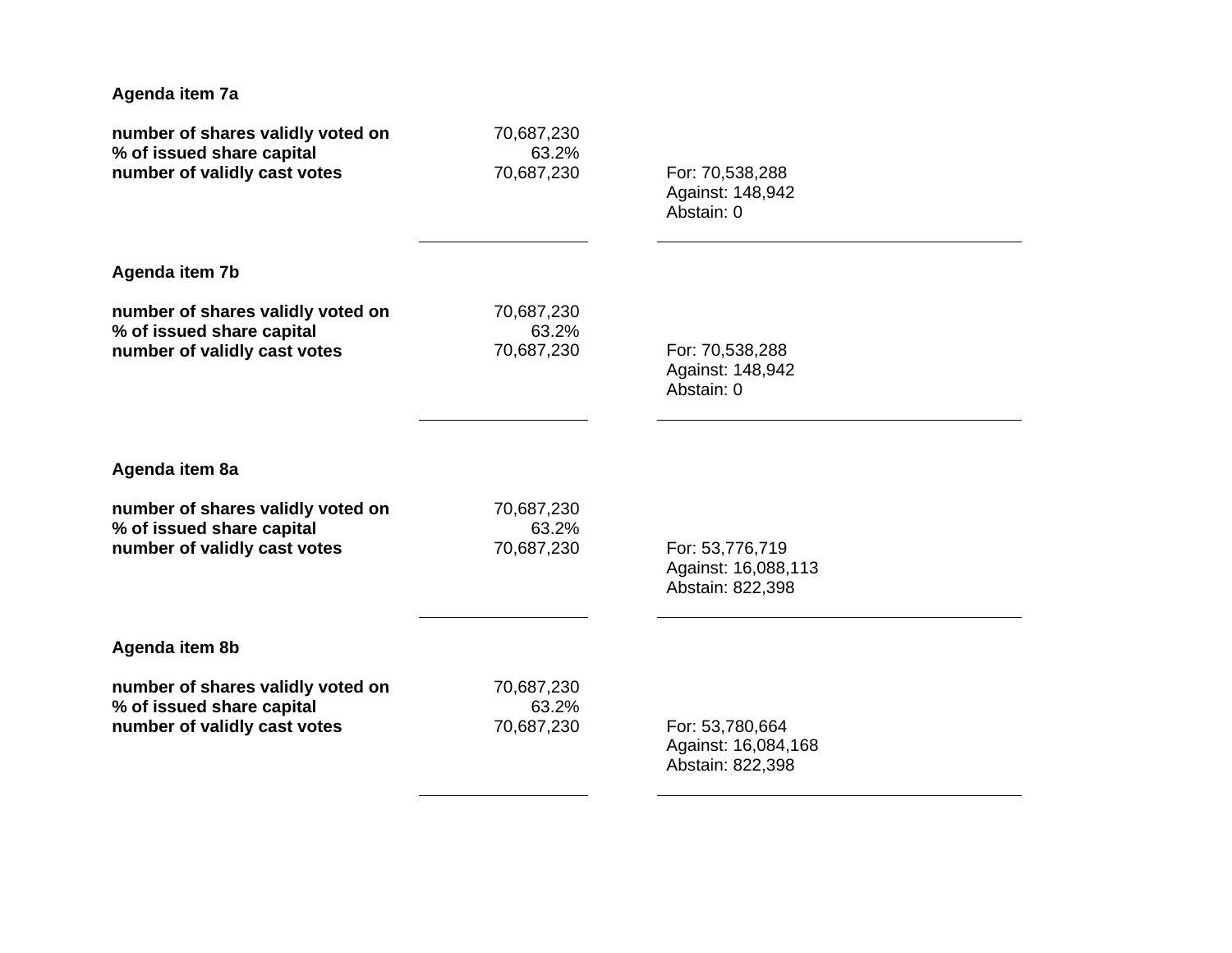| Agenda item 7a                    |            |                     |  |
|-----------------------------------|------------|---------------------|--|
| number of shares validly voted on | 70,687,230 | For: 70,538,288     |  |
| % of issued share capital         | 63.2%      | Against: 148,942    |  |
| number of validly cast votes      | 70,687,230 | Abstain: 0          |  |
| Agenda item 7b                    |            |                     |  |
| number of shares validly voted on | 70,687,230 | For: 70,538,288     |  |
| % of issued share capital         | 63.2%      | Against: 148,942    |  |
| number of validly cast votes      | 70,687,230 | Abstain: 0          |  |
| Agenda item 8a                    |            |                     |  |
| number of shares validly voted on | 70,687,230 | For: 53,776,719     |  |
| % of issued share capital         | 63.2%      | Against: 16,088,113 |  |
| number of validly cast votes      | 70,687,230 | Abstain: 822,398    |  |
| Agenda item 8b                    |            |                     |  |
| number of shares validly voted on | 70,687,230 | For: 53,780,664     |  |
| % of issued share capital         | 63.2%      | Against: 16,084,168 |  |
| number of validly cast votes      | 70,687,230 | Abstain: 822,398    |  |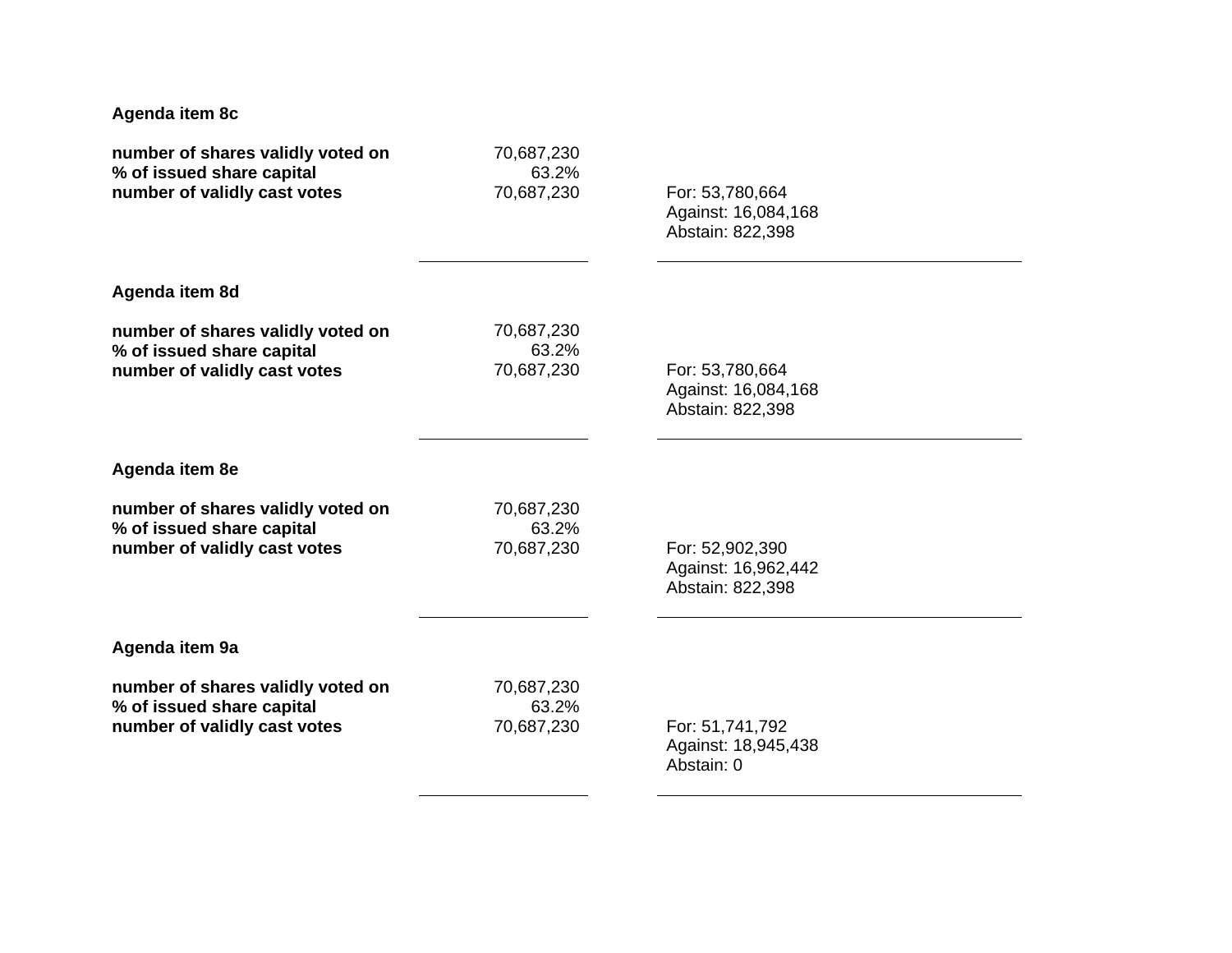| Agenda item 8c                    |            |                     |  |
|-----------------------------------|------------|---------------------|--|
| number of shares validly voted on | 70,687,230 | For: 53,780,664     |  |
| % of issued share capital         | 63.2%      | Against: 16,084,168 |  |
| number of validly cast votes      | 70,687,230 | Abstain: 822,398    |  |
| Agenda item 8d                    |            |                     |  |
| number of shares validly voted on | 70,687,230 | For: 53,780,664     |  |
| % of issued share capital         | 63.2%      | Against: 16,084,168 |  |
| number of validly cast votes      | 70,687,230 | Abstain: 822,398    |  |
| Agenda item 8e                    |            |                     |  |
| number of shares validly voted on | 70,687,230 | For: 52,902,390     |  |
| % of issued share capital         | 63.2%      | Against: 16,962,442 |  |
| number of validly cast votes      | 70,687,230 | Abstain: 822,398    |  |
| Agenda item 9a                    |            |                     |  |
| number of shares validly voted on | 70,687,230 | For: 51,741,792     |  |
| % of issued share capital         | 63.2%      | Against: 18,945,438 |  |
| number of validly cast votes      | 70,687,230 | Abstain: 0          |  |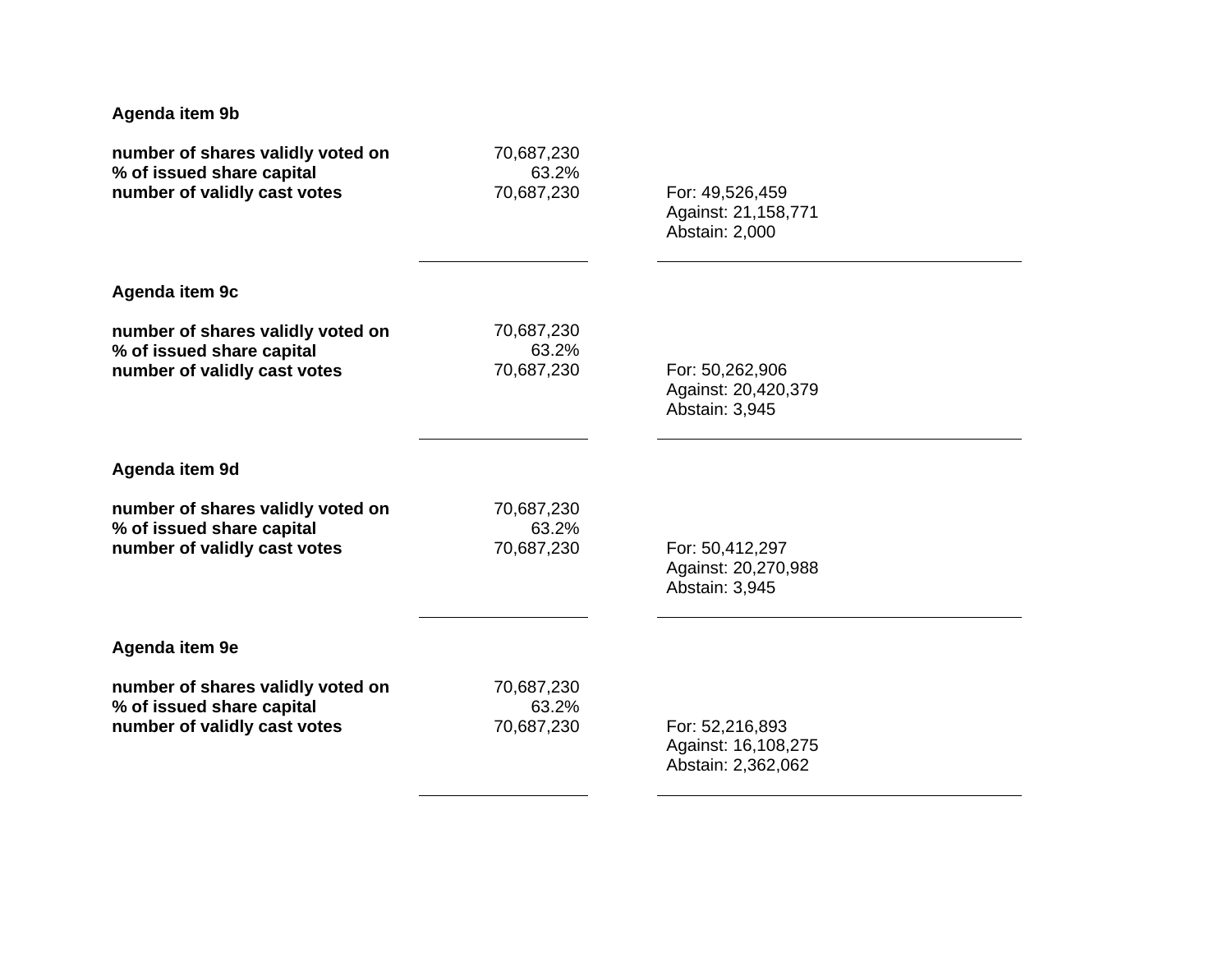| Agenda item 9b                    |            |                     |  |
|-----------------------------------|------------|---------------------|--|
| number of shares validly voted on | 70,687,230 | For: 49,526,459     |  |
| % of issued share capital         | 63.2%      | Against: 21,158,771 |  |
| number of validly cast votes      | 70,687,230 | Abstain: 2,000      |  |
| Agenda item 9c                    |            |                     |  |
| number of shares validly voted on | 70,687,230 | For: 50,262,906     |  |
| % of issued share capital         | 63.2%      | Against: 20,420,379 |  |
| number of validly cast votes      | 70,687,230 | Abstain: 3,945      |  |
| Agenda item 9d                    |            |                     |  |
| number of shares validly voted on | 70,687,230 | For: 50,412,297     |  |
| % of issued share capital         | 63.2%      | Against: 20,270,988 |  |
| number of validly cast votes      | 70,687,230 | Abstain: 3,945      |  |
| Agenda item 9e                    |            |                     |  |
| number of shares validly voted on | 70,687,230 | For: 52,216,893     |  |
| % of issued share capital         | 63.2%      | Against: 16,108,275 |  |
| number of validly cast votes      | 70,687,230 | Abstain: 2,362,062  |  |